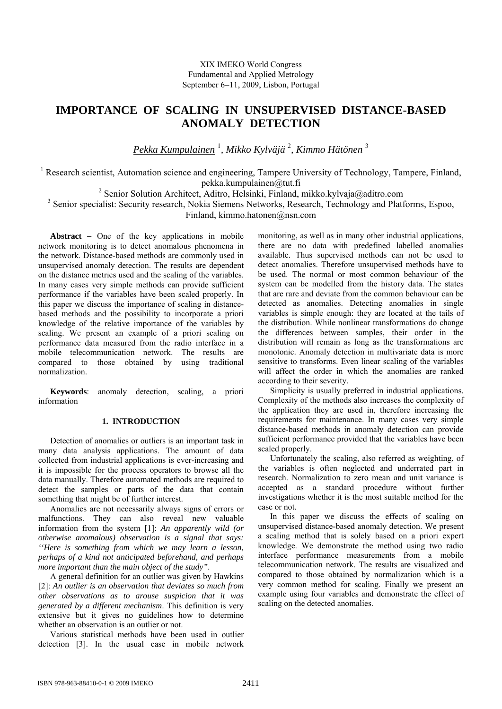# **IMPORTANCE OF SCALING IN UNSUPERVISED DISTANCE-BASED ANOMALY DETECTION**

*Pekka Kumpulainen* <sup>1</sup> *, Mikko Kylväjä* <sup>2</sup> *, Kimmo Hätönen* <sup>3</sup>

<sup>1</sup> Research scientist, Automation science and engineering, Tampere University of Technology, Tampere, Finland, pekka.kumpulainen@tut.fi

<sup>2</sup> Senior Solution Architect, Aditro, Helsinki, Finland, mikko.kylvaja@aditro.com <sup>3</sup> Senior specialist: Security research, Nokia Siemens Networks, Research, Technology and Platforms, Espoo, Finland, kimmo.hatonen@nsn.com

**Abstract** − One of the key applications in mobile network monitoring is to detect anomalous phenomena in the network. Distance-based methods are commonly used in unsupervised anomaly detection. The results are dependent on the distance metrics used and the scaling of the variables. In many cases very simple methods can provide sufficient performance if the variables have been scaled properly. In this paper we discuss the importance of scaling in distancebased methods and the possibility to incorporate a priori knowledge of the relative importance of the variables by scaling. We present an example of a priori scaling on performance data measured from the radio interface in a mobile telecommunication network. The results are compared to those obtained by using traditional normalization.

**Keywords**: anomaly detection, scaling, a priori information

# **1. INTRODUCTION**

Detection of anomalies or outliers is an important task in many data analysis applications. The amount of data collected from industrial applications is ever-increasing and it is impossible for the process operators to browse all the data manually. Therefore automated methods are required to detect the samples or parts of the data that contain something that might be of further interest.

Anomalies are not necessarily always signs of errors or malfunctions. They can also reveal new valuable information from the system [1]: *An apparently wild (or otherwise anomalous) observation is a signal that says: ''Here is something from which we may learn a lesson, perhaps of a kind not anticipated beforehand, and perhaps more important than the main object of the study"*.

A general definition for an outlier was given by Hawkins [2]: *An outlier is an observation that deviates so much from other observations as to arouse suspicion that it was generated by a different mechanism*. This definition is very extensive but it gives no guidelines how to determine whether an observation is an outlier or not.

Various statistical methods have been used in outlier detection [3]. In the usual case in mobile network

monitoring, as well as in many other industrial applications, there are no data with predefined labelled anomalies available. Thus supervised methods can not be used to detect anomalies. Therefore unsupervised methods have to be used. The normal or most common behaviour of the system can be modelled from the history data. The states that are rare and deviate from the common behaviour can be detected as anomalies. Detecting anomalies in single variables is simple enough: they are located at the tails of the distribution. While nonlinear transformations do change the differences between samples, their order in the distribution will remain as long as the transformations are monotonic. Anomaly detection in multivariate data is more sensitive to transforms. Even linear scaling of the variables will affect the order in which the anomalies are ranked according to their severity.

Simplicity is usually preferred in industrial applications. Complexity of the methods also increases the complexity of the application they are used in, therefore increasing the requirements for maintenance. In many cases very simple distance-based methods in anomaly detection can provide sufficient performance provided that the variables have been scaled properly.

Unfortunately the scaling, also referred as weighting, of the variables is often neglected and underrated part in research. Normalization to zero mean and unit variance is accepted as a standard procedure without further investigations whether it is the most suitable method for the case or not.

In this paper we discuss the effects of scaling on unsupervised distance-based anomaly detection. We present a scaling method that is solely based on a priori expert knowledge. We demonstrate the method using two radio interface performance measurements from a mobile telecommunication network. The results are visualized and compared to those obtained by normalization which is a very common method for scaling. Finally we present an example using four variables and demonstrate the effect of scaling on the detected anomalies.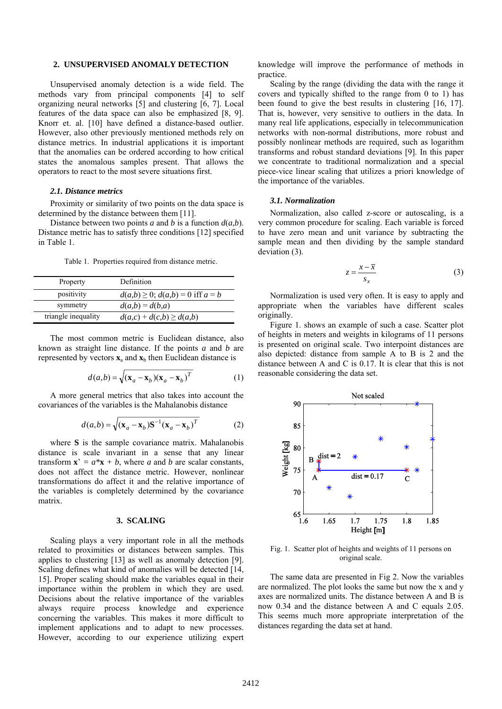## **2. UNSUPERVISED ANOMALY DETECTION**

Unsupervised anomaly detection is a wide field. The methods vary from principal components [4] to self organizing neural networks [5] and clustering [6, 7]. Local features of the data space can also be emphasized [8, 9]. Knorr et. al. [10] have defined a distance-based outlier. However, also other previously mentioned methods rely on distance metrics. In industrial applications it is important that the anomalies can be ordered according to how critical states the anomalous samples present. That allows the operators to react to the most severe situations first.

## *2.1. Distance metrics*

Proximity or similarity of two points on the data space is determined by the distance between them [11].

Distance between two points *a* and *b* is a function  $d(a,b)$ . Distance metric has to satisfy three conditions [12] specified in Table 1.

Table 1. Properties required from distance metric.

| Property            | Definition                                |
|---------------------|-------------------------------------------|
| positivity          | $d(a,b) \ge 0$ ; $d(a,b) = 0$ iff $a = b$ |
| symmetry            | $d(a,b) = d(b,a)$                         |
| triangle inequality | $d(a,c) + d(c,b) \geq d(a,b)$             |

The most common metric is Euclidean distance, also known as straight line distance. If the points *a* and *b* are represented by vectors  $\mathbf{x}_a$  and  $\mathbf{x}_b$  then Euclidean distance is

$$
d(a,b) = \sqrt{(\mathbf{x}_a - \mathbf{x}_b)(\mathbf{x}_a - \mathbf{x}_b)^T}
$$
 (1)

A more general metrics that also takes into account the covariances of the variables is the Mahalanobis distance

$$
d(a,b) = \sqrt{(\mathbf{x}_a - \mathbf{x}_b)\mathbf{S}^{-1}(\mathbf{x}_a - \mathbf{x}_b)^T}
$$
 (2)

where **S** is the sample covariance matrix. Mahalanobis distance is scale invariant in a sense that any linear transform  $\mathbf{x}' = a^* \mathbf{x} + b$ , where *a* and *b* are scalar constants, does not affect the distance metric. However, nonlinear transformations do affect it and the relative importance of the variables is completely determined by the covariance matrix.

# **3. SCALING**

Scaling plays a very important role in all the methods related to proximities or distances between samples. This applies to clustering [13] as well as anomaly detection [9]. Scaling defines what kind of anomalies will be detected [14,] 15]. Proper scaling should make the variables equal in their importance within the problem in which they are used. Decisions about the relative importance of the variables always require process knowledge and experience concerning the variables. This makes it more difficult to implement applications and to adapt to new processes. However, according to our experience utilizing expert knowledge will improve the performance of methods in practice.

Scaling by the range (dividing the data with the range it covers and typically shifted to the range from 0 to 1) has been found to give the best results in clustering [16, 17]. That is, however, very sensitive to outliers in the data. In many real life applications, especially in telecommunication networks with non-normal distributions, more robust and possibly nonlinear methods are required, such as logarithm transforms and robust standard deviations [9]. In this paper we concentrate to traditional normalization and a special piece-vice linear scaling that utilizes a priori knowledge of the importance of the variables.

### *3.1. Normalization*

Normalization, also called z-score or autoscaling, is a very common procedure for scaling. Each variable is forced to have zero mean and unit variance by subtracting the sample mean and then dividing by the sample standard deviation (3).

$$
z = \frac{x - \overline{x}}{s_x} \tag{3}
$$

Normalization is used very often. It is easy to apply and appropriate when the variables have different scales originally.

Figure 1. shows an example of such a case. Scatter plot of heights in meters and weights in kilograms of 11 persons is presented on original scale. Two interpoint distances are also depicted: distance from sample A to B is 2 and the distance between A and C is 0.17. It is clear that this is not reasonable considering the data set.



Fig. 1. Scatter plot of heights and weights of 11 persons on original scale.

The same data are presented in Fig 2. Now the variables are normalized. The plot looks the same but now the x and y axes are normalized units. The distance between A and B is now 0.34 and the distance between A and C equals 2.05. This seems much more appropriate interpretation of the distances regarding the data set at hand.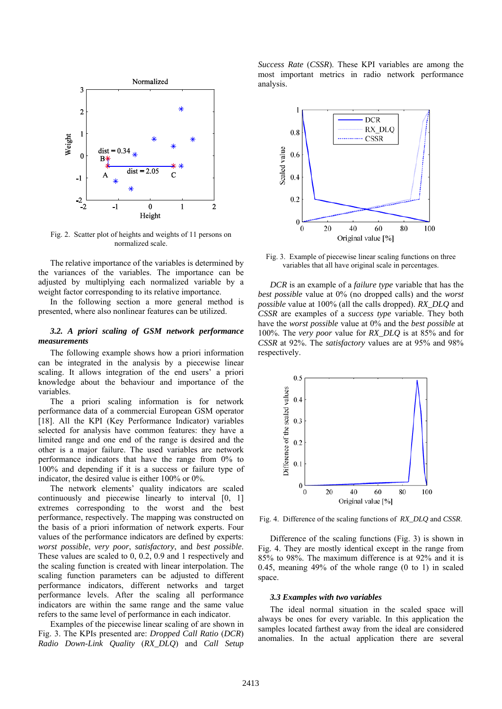

Fig. 2. Scatter plot of heights and weights of 11 persons on normalized scale.

The relative importance of the variables is determined by the variances of the variables. The importance can be adjusted by multiplying each normalized variable by a weight factor corresponding to its relative importance.

In the following section a more general method is presented, where also nonlinear features can be utilized.

# *3.2. A priori scaling of GSM network performance measurements*

The following example shows how a priori information can be integrated in the analysis by a piecewise linear scaling. It allows integration of the end users' a priori knowledge about the behaviour and importance of the variables.

The a priori scaling information is for network performance data of a commercial European GSM operator [18]. All the KPI (Key Performance Indicator) variables selected for analysis have common features: they have a limited range and one end of the range is desired and the other is a major failure. The used variables are network performance indicators that have the range from 0% to 100% and depending if it is a success or failure type of indicator, the desired value is either 100% or 0%.

The network elements' quality indicators are scaled continuously and piecewise linearly to interval [0, 1] extremes corresponding to the worst and the best performance, respectively. The mapping was constructed on the basis of a priori information of network experts. Four values of the performance indicators are defined by experts: *worst possible*, *very poor*, *satisfactory*, and *best possible*. These values are scaled to 0, 0.2, 0.9 and 1 respectively and the scaling function is created with linear interpolation. The scaling function parameters can be adjusted to different performance indicators, different networks and target performance levels. After the scaling all performance indicators are within the same range and the same value refers to the same level of performance in each indicator.

Examples of the piecewise linear scaling of are shown in Fig. 3. The KPIs presented are: *Dropped Call Ratio* (*DCR*) *Radio Down-Link Quality* (*RX\_DLQ*) and *Call Setup*  *Success Rate* (*CSSR*). These KPI variables are among the most important metrics in radio network performance analysis.



Fig. 3. Example of piecewise linear scaling functions on three variables that all have original scale in percentages.

*DCR* is an example of a *failure type* variable that has the *best possible* value at 0% (no dropped calls) and the *worst possible* value at 100% (all the calls dropped). *RX\_DLQ* and *CSSR* are examples of a *success type* variable. They both have the *worst possible* value at 0% and the *best possible* at 100%. The *very poor* value for *RX\_DLQ* is at 85% and for *CSSR* at 92%. The *satisfactory* values are at 95% and 98% respectively.



Fig. 4. Difference of the scaling functions of *RX\_DLQ* and *CSSR*.

Difference of the scaling functions (Fig. 3) is shown in Fig. 4. They are mostly identical except in the range from 85% to 98%. The maximum difference is at 92% and it is 0.45, meaning 49% of the whole range (0 to 1) in scaled space.

#### *3.3 Examples with two variables*

The ideal normal situation in the scaled space will always be ones for every variable. In this application the samples located farthest away from the ideal are considered anomalies. In the actual application there are several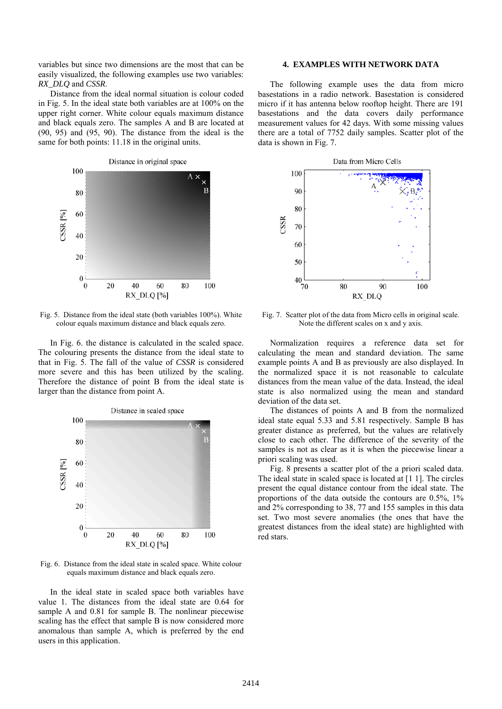variables but since two dimensions are the most that can be easily visualized, the following examples use two variables: *RX\_DLQ* and *CSSR*.

Distance from the ideal normal situation is colour coded in Fig. 5. In the ideal state both variables are at 100% on the upper right corner. White colour equals maximum distance and black equals zero. The samples A and B are located at (90, 95) and (95, 90). The distance from the ideal is the same for both points: 11.18 in the original units.



Fig. 5. Distance from the ideal state (both variables 100%). White colour equals maximum distance and black equals zero.

In Fig. 6. the distance is calculated in the scaled space. The colouring presents the distance from the ideal state to that in Fig. 5. The fall of the value of *CSSR* is considered more severe and this has been utilized by the scaling. Therefore the distance of point B from the ideal state is larger than the distance from point A.



Fig. 6. Distance from the ideal state in scaled space. White colour equals maximum distance and black equals zero.

In the ideal state in scaled space both variables have value 1. The distances from the ideal state are 0.64 for sample A and 0.81 for sample B. The nonlinear piecewise scaling has the effect that sample B is now considered more anomalous than sample A, which is preferred by the end users in this application.

# **4. EXAMPLES WITH NETWORK DATA**

The following example uses the data from micro basestations in a radio network. Basestation is considered micro if it has antenna below rooftop height. There are 191 basestations and the data covers daily performance measurement values for 42 days. With some missing values there are a total of 7752 daily samples. Scatter plot of the data is shown in Fig. 7.



Fig. 7. Scatter plot of the data from Micro cells in original scale. Note the different scales on x and y axis.

Normalization requires a reference data set for calculating the mean and standard deviation. The same example points A and B as previously are also displayed. In the normalized space it is not reasonable to calculate distances from the mean value of the data. Instead, the ideal state is also normalized using the mean and standard deviation of the data set.

The distances of points A and B from the normalized ideal state equal 5.33 and 5.81 respectively. Sample B has greater distance as preferred, but the values are relatively close to each other. The difference of the severity of the samples is not as clear as it is when the piecewise linear a priori scaling was used.

Fig. 8 presents a scatter plot of the a priori scaled data. The ideal state in scaled space is located at [1 1]. The circles present the equal distance contour from the ideal state. The proportions of the data outside the contours are 0.5%, 1% and 2% corresponding to 38, 77 and 155 samples in this data set. Two most severe anomalies (the ones that have the greatest distances from the ideal state) are highlighted with red stars.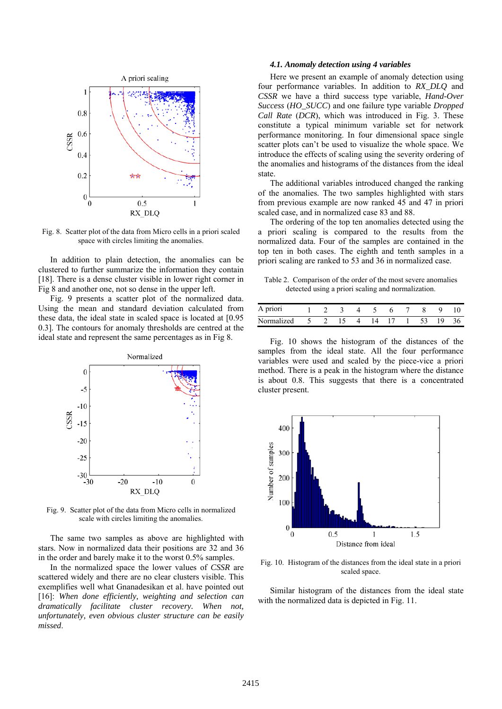

Fig. 8. Scatter plot of the data from Micro cells in a priori scaled space with circles limiting the anomalies.

In addition to plain detection, the anomalies can be clustered to further summarize the information they contain [18]. There is a dense cluster visible in lower right corner in Fig 8 and another one, not so dense in the upper left.

Fig. 9 presents a scatter plot of the normalized data. Using the mean and standard deviation calculated from these data, the ideal state in scaled space is located at [0.95 0.3]. The contours for anomaly thresholds are centred at the ideal state and represent the same percentages as in Fig 8.



Fig. 9. Scatter plot of the data from Micro cells in normalized scale with circles limiting the anomalies.

The same two samples as above are highlighted with stars. Now in normalized data their positions are 32 and 36 in the order and barely make it to the worst 0.5% samples.

In the normalized space the lower values of *CSSR* are scattered widely and there are no clear clusters visible. This exemplifies well what Gnanadesikan et al. have pointed out [16]: *When done efficiently, weighting and selection can dramatically facilitate cluster recovery. When not, unfortunately, even obvious cluster structure can be easily missed*.

#### *4.1. Anomaly detection using 4 variables*

Here we present an example of anomaly detection using four performance variables. In addition to *RX\_DLQ* and *CSSR* we have a third success type variable, *Hand-Over Success* (*HO\_SUCC*) and one failure type variable *Dropped Call Rate* (*DCR*), which was introduced in Fig. 3. These constitute a typical minimum variable set for network performance monitoring. In four dimensional space single scatter plots can't be used to visualize the whole space. We introduce the effects of scaling using the severity ordering of the anomalies and histograms of the distances from the ideal state.

The additional variables introduced changed the ranking of the anomalies. The two samples highlighted with stars from previous example are now ranked 45 and 47 in priori scaled case, and in normalized case 83 and 88.

The ordering of the top ten anomalies detected using the a priori scaling is compared to the results from the normalized data. Four of the samples are contained in the top ten in both cases. The eighth and tenth samples in a priori scaling are ranked to 53 and 36 in normalized case.

Table 2. Comparison of the order of the most severe anomalies detected using a priori scaling and normalization.

| A priori                             |  |  | 1 2 3 4 5 |  | 6 7 8 9 10 |  |
|--------------------------------------|--|--|-----------|--|------------|--|
| Normalized 5 2 15 4 14 17 1 53 19 36 |  |  |           |  |            |  |

Fig. 10 shows the histogram of the distances of the samples from the ideal state. All the four performance variables were used and scaled by the piece-vice a priori method. There is a peak in the histogram where the distance is about 0.8. This suggests that there is a concentrated cluster present.



Fig. 10. Histogram of the distances from the ideal state in a priori scaled space.

Similar histogram of the distances from the ideal state with the normalized data is depicted in Fig. 11.